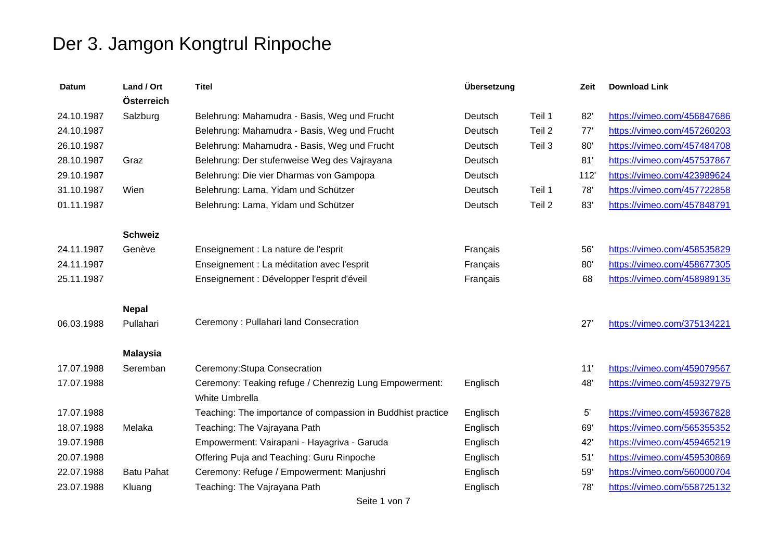| <b>Datum</b> | Land / Ort<br>Österreich | <b>Titel</b>                                                | Übersetzung |        | Zeit         | <b>Download Link</b>        |
|--------------|--------------------------|-------------------------------------------------------------|-------------|--------|--------------|-----------------------------|
| 24.10.1987   | Salzburg                 | Belehrung: Mahamudra - Basis, Weg und Frucht                | Deutsch     | Teil 1 | 82'          | https://vimeo.com/456847686 |
| 24.10.1987   |                          | Belehrung: Mahamudra - Basis, Weg und Frucht                | Deutsch     | Teil 2 | 77'          | https://vimeo.com/457260203 |
| 26.10.1987   |                          | Belehrung: Mahamudra - Basis, Weg und Frucht                | Deutsch     | Teil 3 | 80'          | https://vimeo.com/457484708 |
| 28.10.1987   | Graz                     | Belehrung: Der stufenweise Weg des Vajrayana                | Deutsch     |        | 81'          | https://vimeo.com/457537867 |
| 29.10.1987   |                          | Belehrung: Die vier Dharmas von Gampopa                     | Deutsch     |        | 112'         | https://vimeo.com/423989624 |
| 31.10.1987   | Wien                     | Belehrung: Lama, Yidam und Schützer                         | Deutsch     | Teil 1 | 78'          | https://vimeo.com/457722858 |
| 01.11.1987   |                          | Belehrung: Lama, Yidam und Schützer                         | Deutsch     | Teil 2 | 83'          | https://vimeo.com/457848791 |
|              | <b>Schweiz</b>           |                                                             |             |        |              |                             |
| 24.11.1987   | Genève                   | Enseignement : La nature de l'esprit                        | Français    |        | 56'          | https://vimeo.com/458535829 |
| 24.11.1987   |                          | Enseignement : La méditation avec l'esprit                  | Français    |        | 80'          | https://vimeo.com/458677305 |
| 25.11.1987   |                          | Enseignement : Développer l'esprit d'éveil                  | Français    |        | 68           | https://vimeo.com/458989135 |
|              | <b>Nepal</b>             |                                                             |             |        |              |                             |
| 06.03.1988   | Pullahari                | Ceremony: Pullahari land Consecration                       |             |        | 27'          | https://vimeo.com/375134221 |
|              | <b>Malaysia</b>          |                                                             |             |        |              |                             |
| 17.07.1988   | Seremban                 | Ceremony: Stupa Consecration                                |             |        | 11'          | https://vimeo.com/459079567 |
| 17.07.1988   |                          | Ceremony: Teaking refuge / Chenrezig Lung Empowerment:      | Englisch    |        | 48'          | https://vimeo.com/459327975 |
|              |                          | White Umbrella                                              |             |        |              |                             |
| 17.07.1988   |                          | Teaching: The importance of compassion in Buddhist practice | Englisch    |        | $5^{\prime}$ | https://vimeo.com/459367828 |
| 18.07.1988   | Melaka                   | Teaching: The Vajrayana Path                                | Englisch    |        | 69'          | https://vimeo.com/565355352 |
| 19.07.1988   |                          | Empowerment: Vairapani - Hayagriva - Garuda                 | Englisch    |        | 42'          | https://vimeo.com/459465219 |
| 20.07.1988   |                          | Offering Puja and Teaching: Guru Rinpoche                   | Englisch    |        | 51'          | https://vimeo.com/459530869 |
| 22.07.1988   | <b>Batu Pahat</b>        | Ceremony: Refuge / Empowerment: Manjushri                   | Englisch    |        | 59'          | https://vimeo.com/560000704 |
| 23.07.1988   | Kluang                   | Teaching: The Vajrayana Path                                | Englisch    |        | 78'          | https://vimeo.com/558725132 |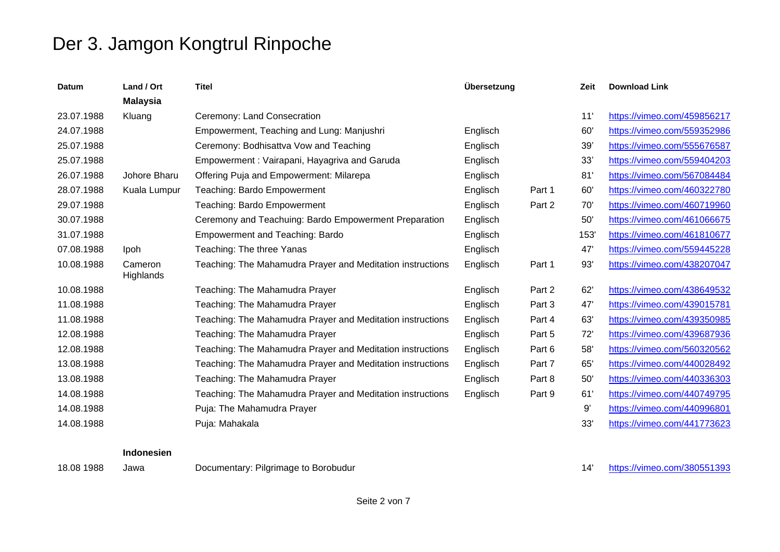| <b>Datum</b> | Land / Ort           | <b>Titel</b>                                               | Übersetzung |        | Zeit | <b>Download Link</b>        |
|--------------|----------------------|------------------------------------------------------------|-------------|--------|------|-----------------------------|
|              | <b>Malaysia</b>      |                                                            |             |        |      |                             |
| 23.07.1988   | Kluang               | Ceremony: Land Consecration                                |             |        | 11   | https://vimeo.com/459856217 |
| 24.07.1988   |                      | Empowerment, Teaching and Lung: Manjushri                  | Englisch    |        | 60'  | https://vimeo.com/559352986 |
| 25.07.1988   |                      | Ceremony: Bodhisattva Vow and Teaching                     | Englisch    |        | 39'  | https://vimeo.com/555676587 |
| 25.07.1988   |                      | Empowerment: Vairapani, Hayagriva and Garuda               | Englisch    |        | 33'  | https://vimeo.com/559404203 |
| 26.07.1988   | Johore Bharu         | Offering Puja and Empowerment: Milarepa                    | Englisch    |        | 81'  | https://vimeo.com/567084484 |
| 28.07.1988   | Kuala Lumpur         | Teaching: Bardo Empowerment                                | Englisch    | Part 1 | 60'  | https://vimeo.com/460322780 |
| 29.07.1988   |                      | Teaching: Bardo Empowerment                                | Englisch    | Part 2 | 70'  | https://vimeo.com/460719960 |
| 30.07.1988   |                      | Ceremony and Teachuing: Bardo Empowerment Preparation      | Englisch    |        | 50'  | https://vimeo.com/461066675 |
| 31.07.1988   |                      | <b>Empowerment and Teaching: Bardo</b>                     | Englisch    |        | 153  | https://vimeo.com/461810677 |
| 07.08.1988   | Ipoh                 | Teaching: The three Yanas                                  | Englisch    |        | 47'  | https://vimeo.com/559445228 |
| 10.08.1988   | Cameron<br>Highlands | Teaching: The Mahamudra Prayer and Meditation instructions | Englisch    | Part 1 | 93'  | https://vimeo.com/438207047 |
| 10.08.1988   |                      | Teaching: The Mahamudra Prayer                             | Englisch    | Part 2 | 62'  | https://vimeo.com/438649532 |
| 11.08.1988   |                      | Teaching: The Mahamudra Prayer                             | Englisch    | Part 3 | 47'  | https://vimeo.com/439015781 |
| 11.08.1988   |                      | Teaching: The Mahamudra Prayer and Meditation instructions | Englisch    | Part 4 | 63'  | https://vimeo.com/439350985 |
| 12.08.1988   |                      | Teaching: The Mahamudra Prayer                             | Englisch    | Part 5 | 72'  | https://vimeo.com/439687936 |
| 12.08.1988   |                      | Teaching: The Mahamudra Prayer and Meditation instructions | Englisch    | Part 6 | 58'  | https://vimeo.com/560320562 |
| 13.08.1988   |                      | Teaching: The Mahamudra Prayer and Meditation instructions | Englisch    | Part 7 | 65'  | https://vimeo.com/440028492 |
| 13.08.1988   |                      | Teaching: The Mahamudra Prayer                             | Englisch    | Part 8 | 50'  | https://vimeo.com/440336303 |
| 14.08.1988   |                      | Teaching: The Mahamudra Prayer and Meditation instructions | Englisch    | Part 9 | 61'  | https://vimeo.com/440749795 |
| 14.08.1988   |                      | Puja: The Mahamudra Prayer                                 |             |        | 9'   | https://vimeo.com/440996801 |
| 14.08.1988   |                      | Puja: Mahakala                                             |             |        | 33'  | https://vimeo.com/441773623 |

### **Indonesien**

18.08 1988 Jawa Documentary: Pilgrimage to Borobudur 18.08 1988 14' https://vimeo.com/380551393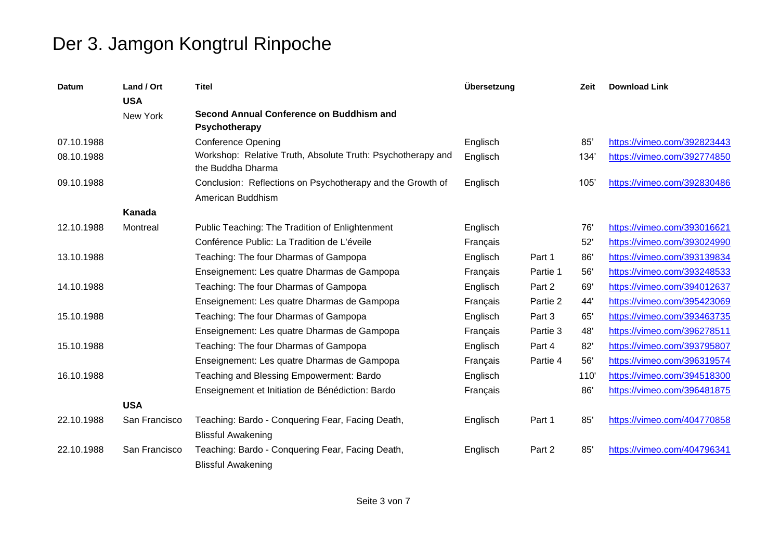| <b>Datum</b> | Land / Ort<br><b>USA</b> | <b>Titel</b>                                                                     | Übersetzung |          | Zeit | <b>Download Link</b>        |
|--------------|--------------------------|----------------------------------------------------------------------------------|-------------|----------|------|-----------------------------|
|              | New York                 | Second Annual Conference on Buddhism and<br>Psychotherapy                        |             |          |      |                             |
| 07.10.1988   |                          | <b>Conference Opening</b>                                                        | Englisch    |          | 85'  | https://vimeo.com/392823443 |
| 08.10.1988   |                          | Workshop: Relative Truth, Absolute Truth: Psychotherapy and<br>the Buddha Dharma | Englisch    |          | 134' | https://vimeo.com/392774850 |
| 09.10.1988   |                          | Conclusion: Reflections on Psychotherapy and the Growth of<br>American Buddhism  | Englisch    |          | 105  | https://vimeo.com/392830486 |
|              | Kanada                   |                                                                                  |             |          |      |                             |
| 12.10.1988   | Montreal                 | Public Teaching: The Tradition of Enlightenment                                  | Englisch    |          | 76'  | https://vimeo.com/393016621 |
|              |                          | Conférence Public: La Tradition de L'éveile                                      | Français    |          | 52'  | https://vimeo.com/393024990 |
| 13.10.1988   |                          | Teaching: The four Dharmas of Gampopa                                            | Englisch    | Part 1   | 86'  | https://vimeo.com/393139834 |
|              |                          | Enseignement: Les quatre Dharmas de Gampopa                                      | Français    | Partie 1 | 56'  | https://vimeo.com/393248533 |
| 14.10.1988   |                          | Teaching: The four Dharmas of Gampopa                                            | Englisch    | Part 2   | 69'  | https://vimeo.com/394012637 |
|              |                          | Enseignement: Les quatre Dharmas de Gampopa                                      | Français    | Partie 2 | 44'  | https://vimeo.com/395423069 |
| 15.10.1988   |                          | Teaching: The four Dharmas of Gampopa                                            | Englisch    | Part 3   | 65'  | https://vimeo.com/393463735 |
|              |                          | Enseignement: Les quatre Dharmas de Gampopa                                      | Français    | Partie 3 | 48'  | https://vimeo.com/396278511 |
| 15.10.1988   |                          | Teaching: The four Dharmas of Gampopa                                            | Englisch    | Part 4   | 82'  | https://vimeo.com/393795807 |
|              |                          | Enseignement: Les quatre Dharmas de Gampopa                                      | Français    | Partie 4 | 56'  | https://vimeo.com/396319574 |
| 16.10.1988   |                          | Teaching and Blessing Empowerment: Bardo                                         | Englisch    |          | 110' | https://vimeo.com/394518300 |
|              |                          | Enseignement et Initiation de Bénédiction: Bardo                                 | Français    |          | 86'  | https://vimeo.com/396481875 |
|              | <b>USA</b>               |                                                                                  |             |          |      |                             |
| 22.10.1988   | San Francisco            | Teaching: Bardo - Conquering Fear, Facing Death,<br><b>Blissful Awakening</b>    | Englisch    | Part 1   | 85'  | https://vimeo.com/404770858 |
| 22.10.1988   | San Francisco            | Teaching: Bardo - Conquering Fear, Facing Death,<br><b>Blissful Awakening</b>    | Englisch    | Part 2   | 85'  | https://vimeo.com/404796341 |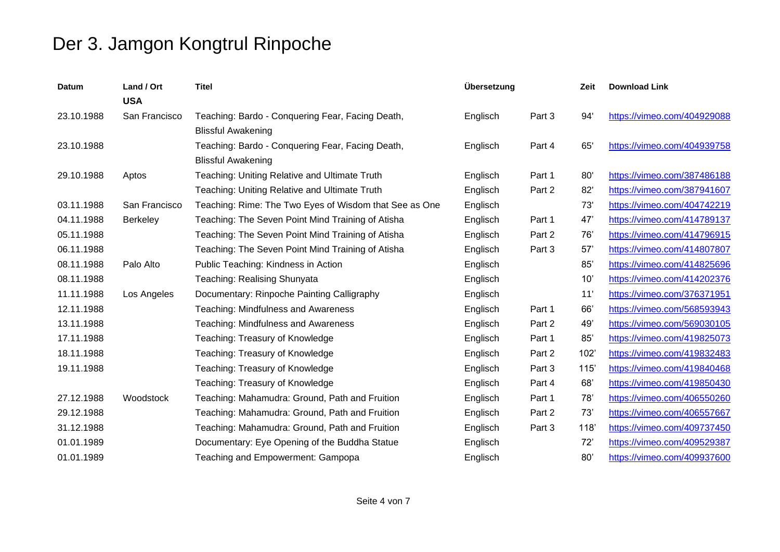| <b>Datum</b> | Land / Ort<br><b>USA</b> | <b>Titel</b>                                           | Übersetzung |        | Zeit | <b>Download Link</b>        |
|--------------|--------------------------|--------------------------------------------------------|-------------|--------|------|-----------------------------|
| 23.10.1988   | San Francisco            | Teaching: Bardo - Conquering Fear, Facing Death,       | Englisch    | Part 3 | 94'  | https://vimeo.com/404929088 |
|              |                          | <b>Blissful Awakening</b>                              |             |        |      |                             |
| 23.10.1988   |                          | Teaching: Bardo - Conquering Fear, Facing Death,       | Englisch    | Part 4 | 65'  | https://vimeo.com/404939758 |
|              |                          | <b>Blissful Awakening</b>                              |             |        |      |                             |
| 29.10.1988   | Aptos                    | Teaching: Uniting Relative and Ultimate Truth          | Englisch    | Part 1 | 80'  | https://vimeo.com/387486188 |
|              |                          | Teaching: Uniting Relative and Ultimate Truth          | Englisch    | Part 2 | 82'  | https://vimeo.com/387941607 |
| 03.11.1988   | San Francisco            | Teaching: Rime: The Two Eyes of Wisdom that See as One | Englisch    |        | 73'  | https://vimeo.com/404742219 |
| 04.11.1988   | <b>Berkeley</b>          | Teaching: The Seven Point Mind Training of Atisha      | Englisch    | Part 1 | 47'  | https://vimeo.com/414789137 |
| 05.11.1988   |                          | Teaching: The Seven Point Mind Training of Atisha      | Englisch    | Part 2 | 76'  | https://vimeo.com/414796915 |
| 06.11.1988   |                          | Teaching: The Seven Point Mind Training of Atisha      | Englisch    | Part 3 | 57'  | https://vimeo.com/414807807 |
| 08.11.1988   | Palo Alto                | Public Teaching: Kindness in Action                    | Englisch    |        | 85'  | https://vimeo.com/414825696 |
| 08.11.1988   |                          | Teaching: Realising Shunyata                           | Englisch    |        | 10'  | https://vimeo.com/414202376 |
| 11.11.1988   | Los Angeles              | Documentary: Rinpoche Painting Calligraphy             | Englisch    |        | 11'  | https://vimeo.com/376371951 |
| 12.11.1988   |                          | Teaching: Mindfulness and Awareness                    | Englisch    | Part 1 | 66'  | https://vimeo.com/568593943 |
| 13.11.1988   |                          | Teaching: Mindfulness and Awareness                    | Englisch    | Part 2 | 49'  | https://vimeo.com/569030105 |
| 17.11.1988   |                          | Teaching: Treasury of Knowledge                        | Englisch    | Part 1 | 85'  | https://vimeo.com/419825073 |
| 18.11.1988   |                          | Teaching: Treasury of Knowledge                        | Englisch    | Part 2 | 102' | https://vimeo.com/419832483 |
| 19.11.1988   |                          | Teaching: Treasury of Knowledge                        | Englisch    | Part 3 | 115  | https://vimeo.com/419840468 |
|              |                          | Teaching: Treasury of Knowledge                        | Englisch    | Part 4 | 68'  | https://vimeo.com/419850430 |
| 27.12.1988   | Woodstock                | Teaching: Mahamudra: Ground, Path and Fruition         | Englisch    | Part 1 | 78'  | https://vimeo.com/406550260 |
| 29.12.1988   |                          | Teaching: Mahamudra: Ground, Path and Fruition         | Englisch    | Part 2 | 73'  | https://vimeo.com/406557667 |
| 31.12.1988   |                          | Teaching: Mahamudra: Ground, Path and Fruition         | Englisch    | Part 3 | 118  | https://vimeo.com/409737450 |
| 01.01.1989   |                          | Documentary: Eye Opening of the Buddha Statue          | Englisch    |        | 72'  | https://vimeo.com/409529387 |
| 01.01.1989   |                          | Teaching and Empowerment: Gampopa                      | Englisch    |        | 80'  | https://vimeo.com/409937600 |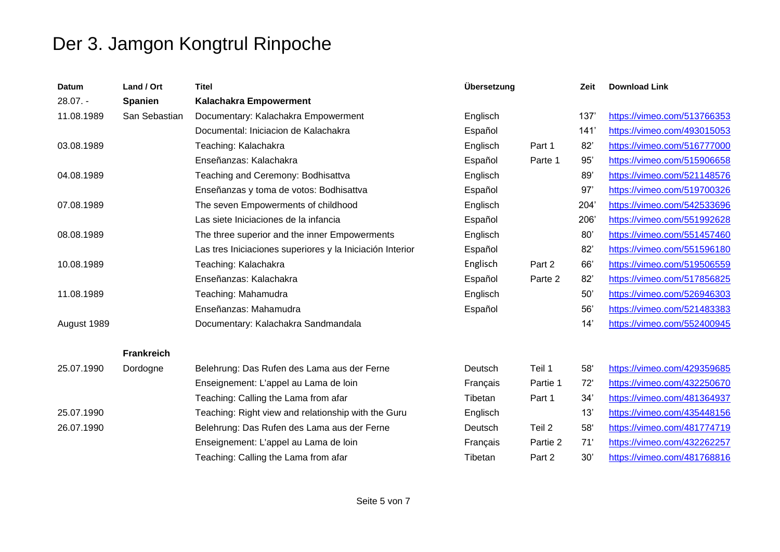| Datum       | Land / Ort        | <b>Titel</b>                                              | Übersetzung |          | Zeit | <b>Download Link</b>        |
|-------------|-------------------|-----------------------------------------------------------|-------------|----------|------|-----------------------------|
| $28.07. -$  | <b>Spanien</b>    | <b>Kalachakra Empowerment</b>                             |             |          |      |                             |
| 11.08.1989  | San Sebastian     | Documentary: Kalachakra Empowerment                       | Englisch    |          | 137  | https://vimeo.com/513766353 |
|             |                   | Documental: Iniciacion de Kalachakra                      | Español     |          | 141  | https://vimeo.com/493015053 |
| 03.08.1989  |                   | Teaching: Kalachakra                                      | Englisch    | Part 1   | 82'  | https://vimeo.com/516777000 |
|             |                   | Enseñanzas: Kalachakra                                    | Español     | Parte 1  | 95'  | https://vimeo.com/515906658 |
| 04.08.1989  |                   | Teaching and Ceremony: Bodhisattva                        | Englisch    |          | 89'  | https://vimeo.com/521148576 |
|             |                   | Enseñanzas y toma de votos: Bodhisattva                   | Español     |          | 97'  | https://vimeo.com/519700326 |
| 07.08.1989  |                   | The seven Empowerments of childhood                       | Englisch    |          | 204' | https://vimeo.com/542533696 |
|             |                   | Las siete Iniciaciones de la infancia                     | Español     |          | 206  | https://vimeo.com/551992628 |
| 08.08.1989  |                   | The three superior and the inner Empowerments             | Englisch    |          | 80'  | https://vimeo.com/551457460 |
|             |                   | Las tres Iniciaciones superiores y la Iniciación Interior | Español     |          | 82'  | https://vimeo.com/551596180 |
| 10.08.1989  |                   | Teaching: Kalachakra                                      | Englisch    | Part 2   | 66'  | https://vimeo.com/519506559 |
|             |                   | Enseñanzas: Kalachakra                                    | Español     | Parte 2  | 82'  | https://vimeo.com/517856825 |
| 11.08.1989  |                   | Teaching: Mahamudra                                       | Englisch    |          | 50'  | https://vimeo.com/526946303 |
|             |                   | Enseñanzas: Mahamudra                                     | Español     |          | 56'  | https://vimeo.com/521483383 |
| August 1989 |                   | Documentary: Kalachakra Sandmandala                       |             |          | 14'  | https://vimeo.com/552400945 |
|             | <b>Frankreich</b> |                                                           |             |          |      |                             |
| 25.07.1990  | Dordogne          | Belehrung: Das Rufen des Lama aus der Ferne               | Deutsch     | Teil 1   | 58'  | https://vimeo.com/429359685 |
|             |                   | Enseignement: L'appel au Lama de loin                     | Français    | Partie 1 | 72'  | https://vimeo.com/432250670 |
|             |                   | Teaching: Calling the Lama from afar                      | Tibetan     | Part 1   | 34'  | https://vimeo.com/481364937 |
| 25.07.1990  |                   | Teaching: Right view and relationship with the Guru       | Englisch    |          | 13'  | https://vimeo.com/435448156 |
| 26.07.1990  |                   | Belehrung: Das Rufen des Lama aus der Ferne               | Deutsch     | Teil 2   | 58'  | https://vimeo.com/481774719 |
|             |                   | Enseignement: L'appel au Lama de loin                     | Français    | Partie 2 | 71'  | https://vimeo.com/432262257 |
|             |                   | Teaching: Calling the Lama from afar                      | Tibetan     | Part 2   | 30'  | https://vimeo.com/481768816 |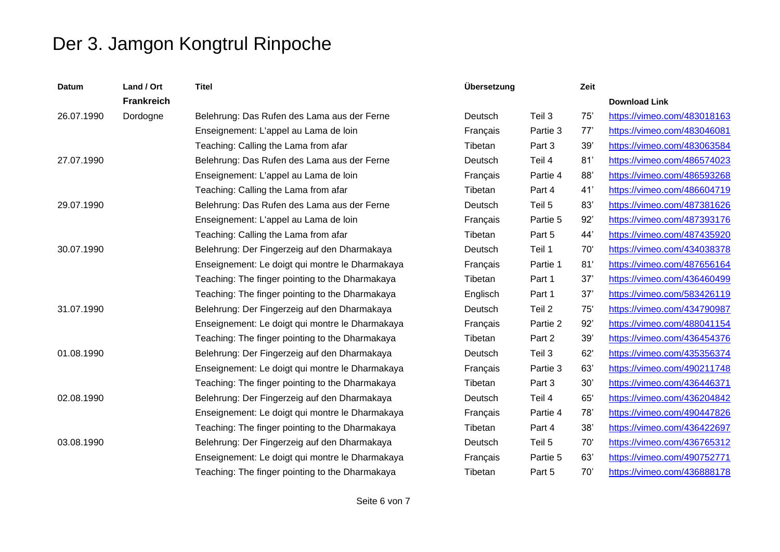| <b>Datum</b> | Land / Ort        | <b>Titel</b>                                    | Übersetzung |          | Zeit |                             |
|--------------|-------------------|-------------------------------------------------|-------------|----------|------|-----------------------------|
|              | <b>Frankreich</b> |                                                 |             |          |      | <b>Download Link</b>        |
| 26.07.1990   | Dordogne          | Belehrung: Das Rufen des Lama aus der Ferne     | Deutsch     | Teil 3   | 75'  | https://vimeo.com/483018163 |
|              |                   | Enseignement: L'appel au Lama de loin           | Français    | Partie 3 | 77'  | https://vimeo.com/483046081 |
|              |                   | Teaching: Calling the Lama from afar            | Tibetan     | Part 3   | 39'  | https://vimeo.com/483063584 |
| 27.07.1990   |                   | Belehrung: Das Rufen des Lama aus der Ferne     | Deutsch     | Teil 4   | 81'  | https://vimeo.com/486574023 |
|              |                   | Enseignement: L'appel au Lama de loin           | Français    | Partie 4 | 88'  | https://vimeo.com/486593268 |
|              |                   | Teaching: Calling the Lama from afar            | Tibetan     | Part 4   | 41'  | https://vimeo.com/486604719 |
| 29.07.1990   |                   | Belehrung: Das Rufen des Lama aus der Ferne     | Deutsch     | Teil 5   | 83'  | https://vimeo.com/487381626 |
|              |                   | Enseignement: L'appel au Lama de loin           | Français    | Partie 5 | 92'  | https://vimeo.com/487393176 |
|              |                   | Teaching: Calling the Lama from afar            | Tibetan     | Part 5   | 44'  | https://vimeo.com/487435920 |
| 30.07.1990   |                   | Belehrung: Der Fingerzeig auf den Dharmakaya    | Deutsch     | Teil 1   | 70'  | https://vimeo.com/434038378 |
|              |                   | Enseignement: Le doigt qui montre le Dharmakaya | Français    | Partie 1 | 81'  | https://vimeo.com/487656164 |
|              |                   | Teaching: The finger pointing to the Dharmakaya | Tibetan     | Part 1   | 37'  | https://vimeo.com/436460499 |
|              |                   | Teaching: The finger pointing to the Dharmakaya | Englisch    | Part 1   | 37'  | https://vimeo.com/583426119 |
| 31.07.1990   |                   | Belehrung: Der Fingerzeig auf den Dharmakaya    | Deutsch     | Teil 2   | 75'  | https://vimeo.com/434790987 |
|              |                   | Enseignement: Le doigt qui montre le Dharmakaya | Français    | Partie 2 | 92'  | https://vimeo.com/488041154 |
|              |                   | Teaching: The finger pointing to the Dharmakaya | Tibetan     | Part 2   | 39'  | https://vimeo.com/436454376 |
| 01.08.1990   |                   | Belehrung: Der Fingerzeig auf den Dharmakaya    | Deutsch     | Teil 3   | 62'  | https://vimeo.com/435356374 |
|              |                   | Enseignement: Le doigt qui montre le Dharmakaya | Français    | Partie 3 | 63'  | https://vimeo.com/490211748 |
|              |                   | Teaching: The finger pointing to the Dharmakaya | Tibetan     | Part 3   | 30'  | https://vimeo.com/436446371 |
| 02.08.1990   |                   | Belehrung: Der Fingerzeig auf den Dharmakaya    | Deutsch     | Teil 4   | 65'  | https://vimeo.com/436204842 |
|              |                   | Enseignement: Le doigt qui montre le Dharmakaya | Français    | Partie 4 | 78'  | https://vimeo.com/490447826 |
|              |                   | Teaching: The finger pointing to the Dharmakaya | Tibetan     | Part 4   | 38'  | https://vimeo.com/436422697 |
| 03.08.1990   |                   | Belehrung: Der Fingerzeig auf den Dharmakaya    | Deutsch     | Teil 5   | 70'  | https://vimeo.com/436765312 |
|              |                   | Enseignement: Le doigt qui montre le Dharmakaya | Français    | Partie 5 | 63'  | https://vimeo.com/490752771 |
|              |                   | Teaching: The finger pointing to the Dharmakaya | Tibetan     | Part 5   | 70'  | https://vimeo.com/436888178 |
|              |                   |                                                 |             |          |      |                             |